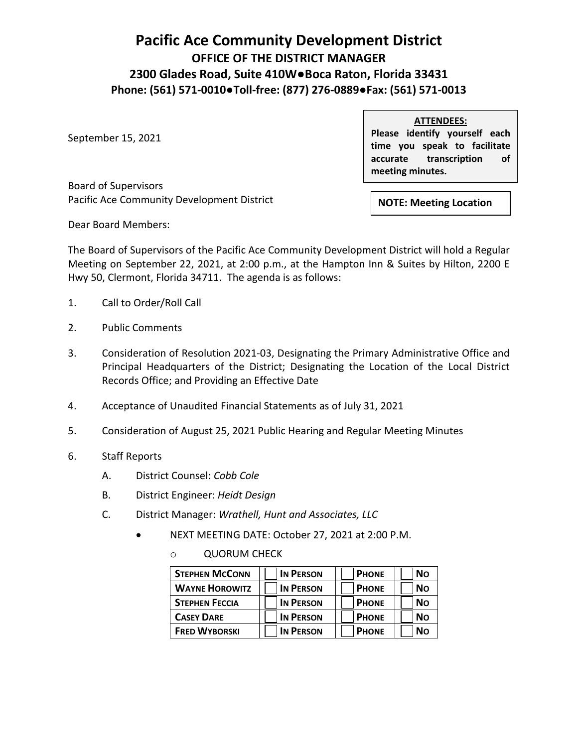## **Pacific Ace Community Development District OFFICE OF THE DISTRICT MANAGER 2300 Glades Road, Suite 410W●Boca Raton, Florida 33431 Phone: (561) 571-0010●Toll-free: (877) 276-0889●Fax: (561) 571-0013**

September 15, 2021

**ATTENDEES: Please identify yourself each time you speak to facilitate accurate transcription of meeting minutes.**

Board of Supervisors Pacific Ace Community Development District

**NOTE: Meeting Location**

Dear Board Members:

The Board of Supervisors of the Pacific Ace Community Development District will hold a Regular Meeting on September 22, 2021, at 2:00 p.m., at the Hampton Inn & Suites by Hilton, 2200 E Hwy 50, Clermont, Florida 34711. The agenda is as follows:

- 1. Call to Order/Roll Call
- 2. Public Comments
- 3. Consideration of Resolution 2021-03, Designating the Primary Administrative Office and Principal Headquarters of the District; Designating the Location of the Local District Records Office; and Providing an Effective Date
- 4. Acceptance of Unaudited Financial Statements as of July 31, 2021
- 5. Consideration of August 25, 2021 Public Hearing and Regular Meeting Minutes
- 6. Staff Reports
	- A. District Counsel: *Cobb Cole*
	- B. District Engineer: *Heidt Design*
	- C. District Manager: *Wrathell, Hunt and Associates, LLC*
		- NEXT MEETING DATE: October 27, 2021 at 2:00 P.M.
			- o QUORUM CHECK

| <b>STEPHEN MCCONN</b> | <b>IN PERSON</b> | <b>PHONE</b> | <b>No</b> |
|-----------------------|------------------|--------------|-----------|
| <b>WAYNE HOROWITZ</b> | <b>IN PERSON</b> | <b>PHONE</b> | <b>No</b> |
| <b>STEPHEN FECCIA</b> | <b>IN PERSON</b> | <b>PHONE</b> | <b>No</b> |
| <b>CASEY DARE</b>     | <b>IN PERSON</b> | <b>PHONE</b> | <b>No</b> |
| <b>FRED WYBORSKI</b>  | <b>IN PERSON</b> | <b>PHONE</b> | <b>No</b> |